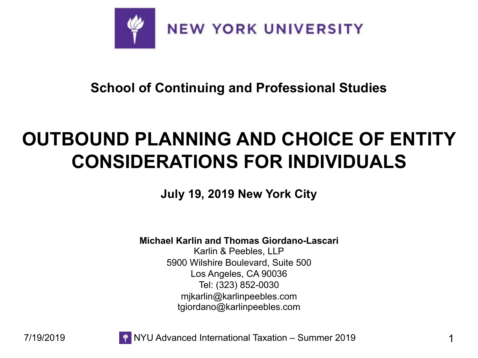

**School of Continuing and Professional Studies**

### **OUTBOUND PLANNING AND CHOICE OF ENTITY CONSIDERATIONS FOR INDIVIDUALS**

**July 19, 2019 New York City**

**Michael Karlin and Thomas Giordano-Lascari**

Karlin & Peebles, LLP 5900 Wilshire Boulevard, Suite 500 Los Angeles, CA 90036 Tel: (323) 852-0030 mjkarlin@karlinpeebles.com tgiordano@karlinpeebles.com





7/19/2019 NYU Advanced International Taxation – Summer 2019 1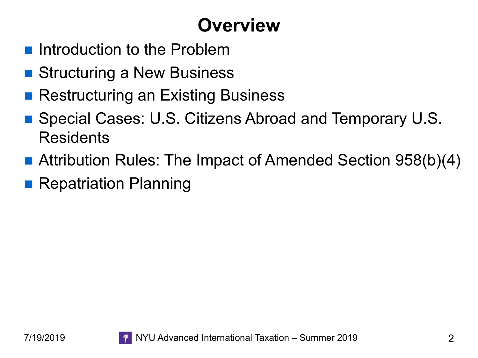# **Overview**

- **n** Introduction to the Problem
- Structuring a New Business
- Restructuring an Existing Business
- Special Cases: U.S. Citizens Abroad and Temporary U.S. **Residents**
- Attribution Rules: The Impact of Amended Section 958(b)(4)
- **Repatriation Planning**

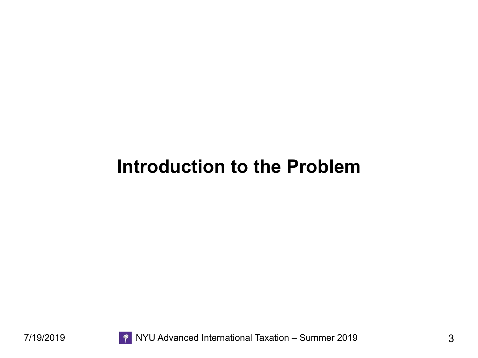#### **Introduction to the Problem**

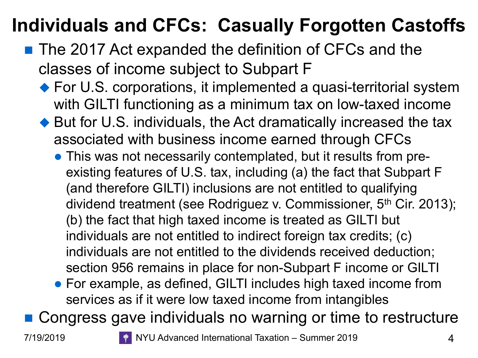# **Individuals and CFCs: Casually Forgotten Castoffs**

- The 2017 Act expanded the definition of CFCs and the classes of income subject to Subpart F
	- $\blacklozenge$  For U.S. corporations, it implemented a quasi-territorial system with GILTI functioning as a minimum tax on low-taxed income
	- $\blacklozenge$  But for U.S. individuals, the Act dramatically increased the tax associated with business income earned through CFCs
		- This was not necessarily contemplated, but it results from preexisting features of U.S. tax, including (a) the fact that Subpart F (and therefore GILTI) inclusions are not entitled to qualifying dividend treatment (see Rodriguez v. Commissioner, 5<sup>th</sup> Cir. 2013); (b) the fact that high taxed income is treated as GILTI but individuals are not entitled to indirect foreign tax credits; (c) individuals are not entitled to the dividends received deduction; section 956 remains in place for non-Subpart F income or GILTI
		- For example, as defined, GILTI includes high taxed income from services as if it were low taxed income from intangibles

■ Congress gave individuals no warning or time to restructure



7/19/2019 NYU Advanced International Taxation – Summer 2019 4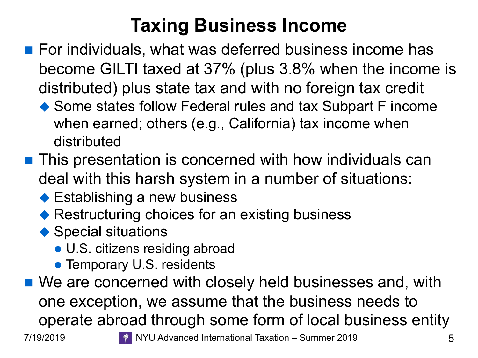## **Taxing Business Income**

- For individuals, what was deferred business income has become GILTI taxed at 37% (plus 3.8% when the income is distributed) plus state tax and with no foreign tax credit
	- $\blacklozenge$  Some states follow Federal rules and tax Subpart F income when earned; others (e.g., California) tax income when distributed
- **n** This presentation is concerned with how individuals can deal with this harsh system in a number of situations:
	- $\blacklozenge$  Establishing a new business
	- $\blacklozenge$  Restructuring choices for an existing business
	- $\blacklozenge$  Special situations
		- U.S. citizens residing abroad
		- Temporary U.S. residents
- We are concerned with closely held businesses and, with one exception, we assume that the business needs to operate abroad through some form of local business entity 7/19/2019 **TEDDA ALGE ARE:** NYU Advanced International Taxation – Summer 2019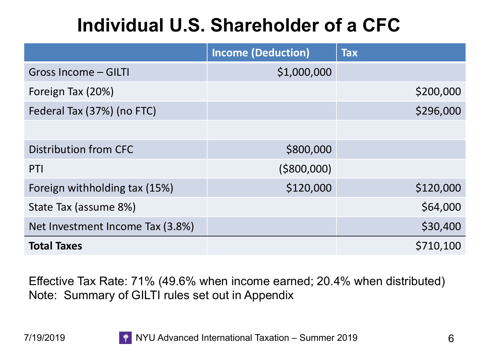# **Individual U.S. Shareholder of a CFC**

|                                  | <b>Income (Deduction)</b> | <b>Tax</b> |
|----------------------------------|---------------------------|------------|
| Gross Income - GILTI             | \$1,000,000               |            |
| Foreign Tax (20%)                |                           | \$200,000  |
| Federal Tax (37%) (no FTC)       |                           | \$296,000  |
|                                  |                           |            |
| Distribution from CFC            | \$800,000                 |            |
| PTI                              | ( \$800,000)              |            |
| Foreign withholding tax (15%)    | \$120,000                 | \$120,000  |
| State Tax (assume 8%)            |                           | \$64,000   |
| Net Investment Income Tax (3.8%) |                           | \$30,400   |
| <b>Total Taxes</b>               |                           | \$710,100  |

Effective Tax Rate: 71% (49.6% when income earned; 20.4% when distributed) Note: Summary of GILTI rules set out in Appendix

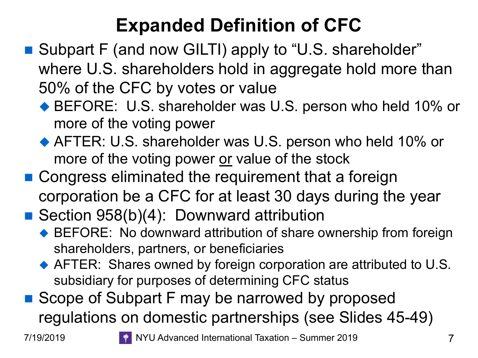# **Expanded Definition of CFC**

- Subpart F (and now GILTI) apply to "U.S. shareholder" where U.S. shareholders hold in aggregate hold more than 50% of the CFC by votes or value
	- ◆ BEFORE: U.S. shareholder was U.S. person who held 10% or more of the voting power
	- $\blacklozenge$  AFTER: U.S. shareholder was U.S. person who held 10% or more of the voting power or value of the stock
- Congress eliminated the requirement that a foreign corporation be a CFC for at least 30 days during the year
- Section  $958(b)(4)$ : Downward attribution
	- ◆ BEFORE: No downward attribution of share ownership from foreign shareholders, partners, or beneficiaries
	- $\blacklozenge$  AFTER: Shares owned by foreign corporation are attributed to U.S. subsidiary for purposes of determining CFC status
- Scope of Subpart F may be narrowed by proposed regulations on domestic partnerships (see Slides 45-49)

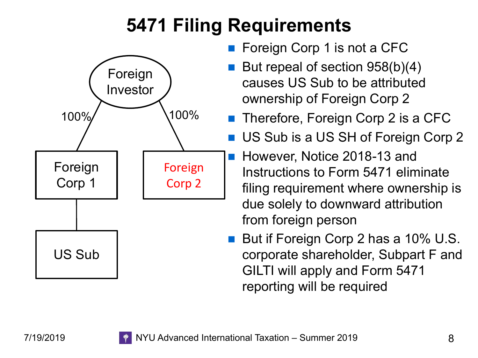# **5471 Filing Requirements**



- Foreign Corp 1 is not a CFC
- But repeal of section  $958(b)(4)$ causes US Sub to be attributed ownership of Foreign Corp 2
- Therefore, Foreign Corp 2 is a CFC
- US Sub is a US SH of Foreign Corp 2
- However, Notice 2018-13 and Instructions to Form 5471 eliminate filing requirement where ownership is due solely to downward attribution from foreign person
- But if Foreign Corp 2 has a 10% U.S. corporate shareholder, Subpart F and GILTI will apply and Form 5471 reporting will be required

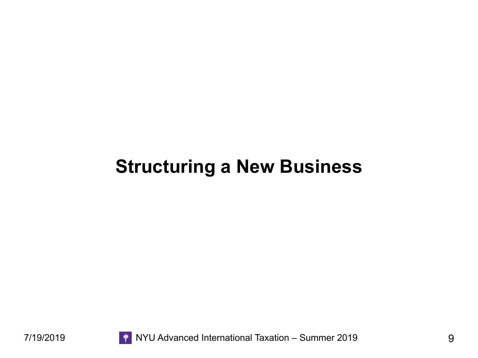#### **Structuring a New Business**

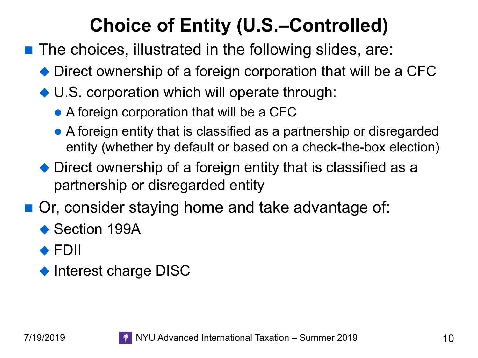# **Choice of Entity (U.S.–Controlled)**

- $\blacksquare$  The choices, illustrated in the following slides, are:
	- $\blacklozenge$  Direct ownership of a foreign corporation that will be a CFC
	- $\blacklozenge$  U.S. corporation which will operate through:
		- A foreign corporation that will be a CFC
		- $\bullet$  A foreign entity that is classified as a partnership or disregarded entity (whether by default or based on a check-the-box election)
	- $\blacklozenge$  Direct ownership of a foreign entity that is classified as a partnership or disregarded entity
- Or, consider staying home and take advantage of:
	- $\triangle$  Section 199A
	- $\triangle$  FDII
	- $\blacklozenge$  Interest charge DISC

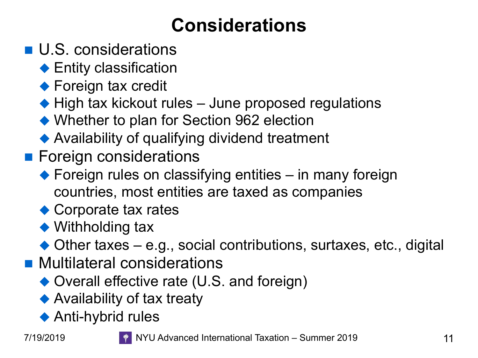# **Considerations**

- U.S. considerations
	- $\blacklozenge$  Entity classification
	- $\blacklozenge$  Foreign tax credit
	- $\blacklozenge$  High tax kickout rules June proposed regulations
	- $\blacklozenge$  Whether to plan for Section 962 election
	- $\blacklozenge$  Availability of qualifying dividend treatment
- **n** Foreign considerations
	- $\blacklozenge$  Foreign rules on classifying entities in many foreign countries, most entities are taxed as companies
	- $\bullet$  Corporate tax rates
	- $\blacklozenge$  Withholding tax
	- $\blacklozenge$  Other taxes e.g., social contributions, surtaxes, etc., digital
- **n** Multilateral considerations
	- $\rightarrow$  Overall effective rate (U.S. and foreign)
	- $\blacklozenge$  Availability of tax treaty
	- $\blacklozenge$  Anti-hybrid rules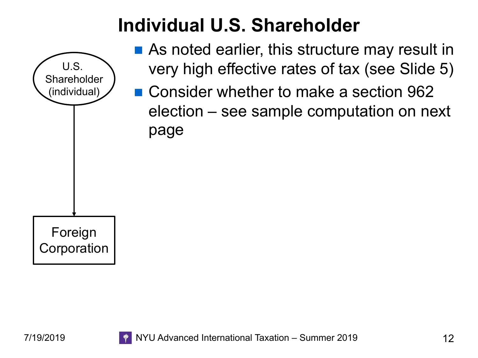# **Individual U.S. Shareholder**



- $\blacksquare$  As noted earlier, this structure may result in very high effective rates of tax (see Slide 5)
- Consider whether to make a section 962 election – see sample computation on next page

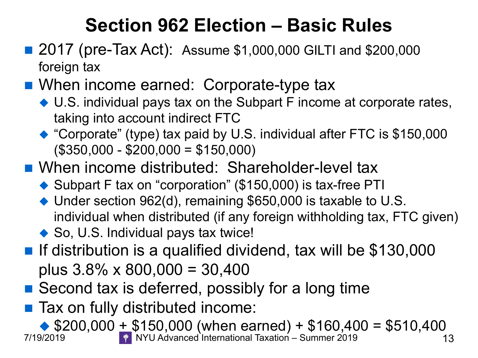## **Section 962 Election – Basic Rules**

- 2017 (pre-Tax Act): Assume \$1,000,000 GILTI and \$200,000 foreign tax
- When income earned: Corporate-type tax
	- $\blacklozenge$  U.S. individual pays tax on the Subpart F income at corporate rates, taking into account indirect FTC
	- $\triangle$  "Corporate" (type) tax paid by U.S. individual after FTC is \$150,000 (\$350,000 - \$200,000 = \$150,000)
- When income distributed: Shareholder-level tax
	- $\blacklozenge$  Subpart F tax on "corporation" (\$150,000) is tax-free PTI
	- $\blacklozenge$  Under section 962(d), remaining \$650,000 is taxable to U.S. individual when distributed (if any foreign withholding tax, FTC given)
	- $\bullet$  So, U.S. Individual pays tax twice!
- If distribution is a qualified dividend, tax will be \$130,000 plus  $3.8\% \times 800,000 = 30,400$
- $\blacksquare$  Second tax is deferred, possibly for a long time
- Tax on fully distributed income:

 $\bigcirc$  \$200,000 + \$150,000 (when earned) + \$160,400 = \$510,400  $\bigcirc$  7/19/2019 NYU Advanced International Taxation – Summer 2019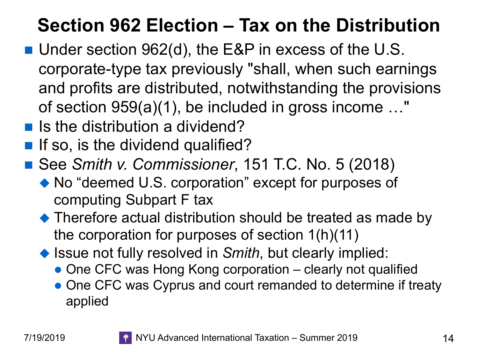## **Section 962 Election – Tax on the Distribution**

- Under section 962(d), the E&P in excess of the U.S. corporate-type tax previously "shall, when such earnings and profits are distributed, notwithstanding the provisions of section 959(a)(1), be included in gross income …"
- $\blacksquare$  Is the distribution a dividend?
- **n** If so, is the dividend qualified?
- See *Smith v. Commissioner*, 151 T.C. No. 5 (2018)
	- $\blacklozenge$  No "deemed U.S. corporation" except for purposes of computing Subpart F tax
	- $\blacklozenge$  Therefore actual distribution should be treated as made by the corporation for purposes of section 1(h)(11)
	- ◆ Issue not fully resolved in *Smith*, but clearly implied:
		- One CFC was Hong Kong corporation clearly not qualified
		- One CFC was Cyprus and court remanded to determine if treaty applied

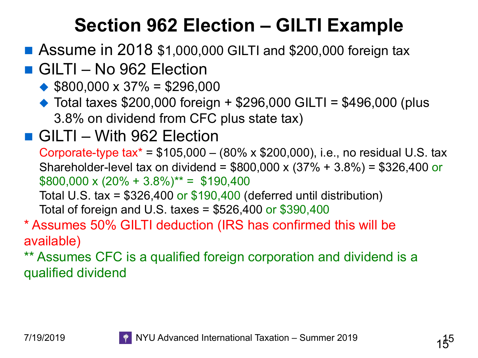## **Section 962 Election – GILTI Example**

#### ■ Assume in 2018 \$1,000,000 GILTI and \$200,000 foreign tax

#### ■ GILTI – No 962 Election

- $\triangle$  \$800,000 x 37% = \$296,000
- $\triangle$  Total taxes \$200,000 foreign + \$296,000 GILTI = \$496,000 (plus 3.8% on dividend from CFC plus state tax)

#### ■ GILTI – With 962 Election

Corporate-type tax<sup>\*</sup> =  $$105,000 - (80\% \times $200,000)$ , i.e., no residual U.S. tax Shareholder-level tax on dividend = \$800,000 x (37% + 3.8%) = \$326,400 or  $$800,000 \times (20\% + 3.8\%)^{**} = $190,400$ 

Total U.S. tax =  $$326,400$  or  $$190,400$  (deferred until distribution)

Total of foreign and U.S. taxes =  $$526,400$  or  $$390,400$ 

#### \* Assumes 50% GILTI deduction (IRS has confirmed this will be available)

\*\* Assumes CFC is a qualified foreign corporation and dividend is a qualified dividend

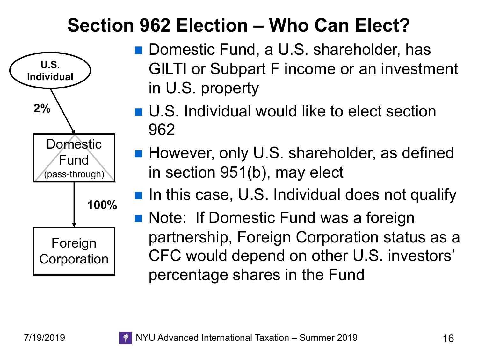### **Section 962 Election – Who Can Elect?**



- Domestic Fund, a U.S. shareholder, has GILTI or Subpart F income or an investment in U.S. property
- U.S. Individual would like to elect section 962
- However, only U.S. shareholder, as defined in section 951(b), may elect
- **n** In this case, U.S. Individual does not qualify
- Note: If Domestic Fund was a foreign partnership, Foreign Corporation status as a CFC would depend on other U.S. investors' percentage shares in the Fund

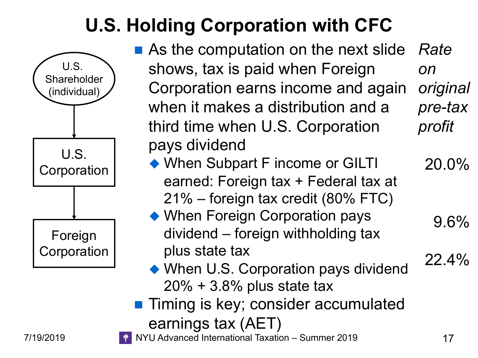# **U.S. Holding Corporation with CFC**



- As the computation on the next slide shows, tax is paid when Foreign Corporation earns income and again when it makes a distribution and a third time when U.S. Corporation pays dividend *Rate on original pre-tax profit*
	- When Subpart F income or GILTI earned: Foreign tax + Federal tax at 21% – foreign tax credit (80% FTC)
	- When Foreign Corporation pays dividend – foreign withholding tax plus state tax
	- $\blacklozenge$  When U.S. Corporation pays dividend 20% + 3.8% plus state tax
- **n Timing is key; consider accumulated** earnings tax (AET)

7/19/2019 **TEDDA ALGE ARE:** NYU Advanced International Taxation – Summer 2019

20.0%

9.6%

22.4%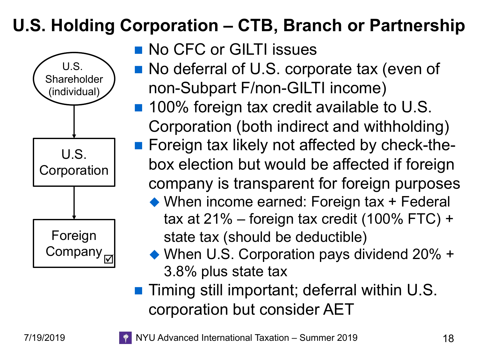#### **U.S. Holding Corporation – CTB, Branch or Partnership**



- **No CFC or GILTI issues**
- No deferral of U.S. corporate tax (even of non-Subpart F/non-GILTI income)
- 100% foreign tax credit available to U.S. Corporation (both indirect and withholding)
- Foreign tax likely not affected by check-thebox election but would be affected if foreign company is transparent for foreign purposes
	- $\rightarrow$  When income earned: Foreign tax + Federal tax at 21% – foreign tax credit (100% FTC) + state tax (should be deductible)
	- $\blacktriangleright$  When U.S. Corporation pays dividend 20% + 3.8% plus state tax
- Timing still important; deferral within U.S. corporation but consider AET

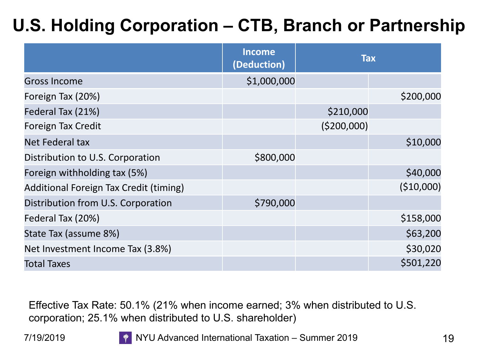#### **U.S. Holding Corporation – CTB, Branch or Partnership**

|                                        | <b>Income</b><br>(Deduction) | <b>Tax</b>   |            |
|----------------------------------------|------------------------------|--------------|------------|
| <b>Gross Income</b>                    | \$1,000,000                  |              |            |
| Foreign Tax (20%)                      |                              |              | \$200,000  |
| Federal Tax (21%)                      |                              | \$210,000    |            |
| Foreign Tax Credit                     |                              | ( \$200,000] |            |
| Net Federal tax                        |                              |              | \$10,000   |
| Distribution to U.S. Corporation       | \$800,000                    |              |            |
| Foreign withholding tax (5%)           |                              |              | \$40,000   |
| Additional Foreign Tax Credit (timing) |                              |              | (\$10,000) |
| Distribution from U.S. Corporation     | \$790,000                    |              |            |
| Federal Tax (20%)                      |                              |              | \$158,000  |
| State Tax (assume 8%)                  |                              |              | \$63,200   |
| Net Investment Income Tax (3.8%)       |                              |              | \$30,020   |
| <b>Total Taxes</b>                     |                              |              | \$501,220  |

Effective Tax Rate: 50.1% (21% when income earned; 3% when distributed to U.S. corporation; 25.1% when distributed to U.S. shareholder)

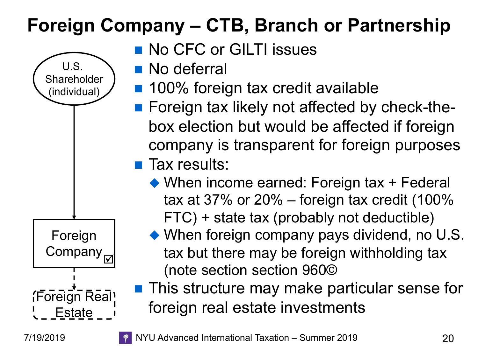# **Foreign Company – CTB, Branch or Partnership**



- **No CFC or GILTI issues**
- **No deferral**
- 100% foreign tax credit available
- Foreign tax likely not affected by check-thebox election but would be affected if foreign company is transparent for foreign purposes
- **n** Tax results:
	- $\blacklozenge$  When income earned: Foreign tax + Federal tax at 37% or 20% – foreign tax credit (100% FTC) + state tax (probably not deductible)
	- $\blacklozenge$  When foreign company pays dividend, no U.S. tax but there may be foreign withholding tax (note section section 960©
- This structure may make particular sense for foreign real estate investments



7/19/2019 NYU Advanced International Taxation – Summer 2019 20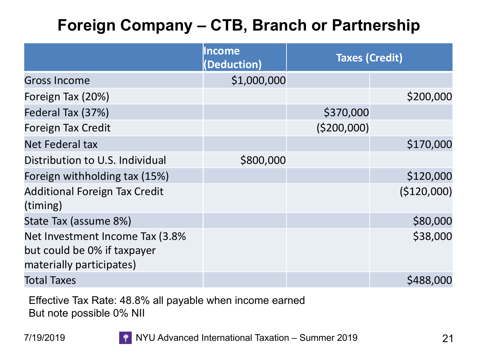#### **Foreign Company – CTB, Branch or Partnership**

|                                                                                            | <b>Income</b><br>(Deduction) | <b>Taxes (Credit)</b> |             |
|--------------------------------------------------------------------------------------------|------------------------------|-----------------------|-------------|
| <b>Gross Income</b>                                                                        | \$1,000,000                  |                       |             |
| Foreign Tax (20%)                                                                          |                              |                       | \$200,000   |
| Federal Tax (37%)                                                                          |                              | \$370,000             |             |
| <b>Foreign Tax Credit</b>                                                                  |                              | ( \$200,000]          |             |
| Net Federal tax                                                                            |                              |                       | \$170,000   |
| Distribution to U.S. Individual                                                            | \$800,000                    |                       |             |
| Foreign withholding tax (15%)                                                              |                              |                       | \$120,000   |
| <b>Additional Foreign Tax Credit</b><br>(timing)                                           |                              |                       | (\$120,000) |
| State Tax (assume 8%)                                                                      |                              |                       | \$80,000    |
| Net Investment Income Tax (3.8%<br>but could be 0% if taxpayer<br>materially participates) |                              |                       | \$38,000    |
| <b>Total Taxes</b>                                                                         |                              |                       | \$488,000   |

Effective Tax Rate: 48.8% all payable when income earned But note possible 0% NII

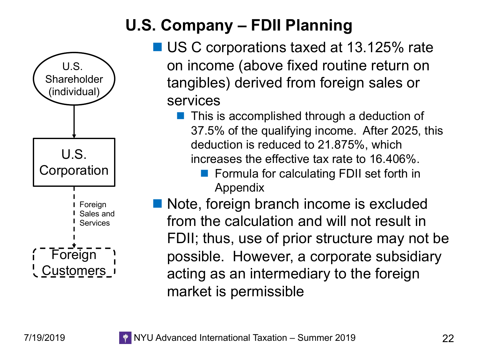

#### **U.S. Company – FDII Planning**

- US C corporations taxed at 13.125% rate on income (above fixed routine return on tangibles) derived from foreign sales or services
	- This is accomplished through a deduction of 37.5% of the qualifying income. After 2025, this deduction is reduced to 21.875%, which increases the effective tax rate to 16.406%.
		- Formula for calculating FDII set forth in Appendix
- Note, foreign branch income is excluded from the calculation and will not result in FDII; thus, use of prior structure may not be possible. However, a corporate subsidiary acting as an intermediary to the foreign market is permissible

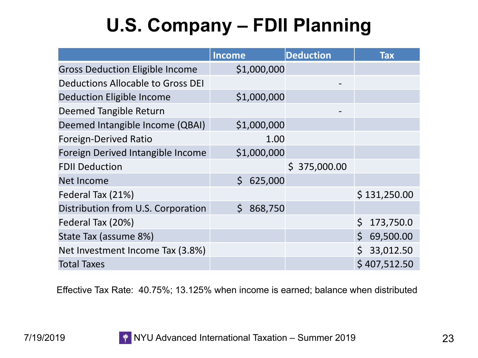# **U.S. Company – FDII Planning**

|                                        | <b>Income</b>           | <b>Deduction</b> | <b>Tax</b>                |
|----------------------------------------|-------------------------|------------------|---------------------------|
| <b>Gross Deduction Eligible Income</b> | \$1,000,000             |                  |                           |
| Deductions Allocable to Gross DEI      |                         |                  |                           |
| <b>Deduction Eligible Income</b>       | \$1,000,000             |                  |                           |
| Deemed Tangible Return                 |                         |                  |                           |
| Deemed Intangible Income (QBAI)        | \$1,000,000             |                  |                           |
| <b>Foreign-Derived Ratio</b>           | 1.00                    |                  |                           |
| Foreign Derived Intangible Income      | \$1,000,000             |                  |                           |
| <b>FDII Deduction</b>                  |                         | \$375,000.00     |                           |
| Net Income                             | $\mathsf{S}$<br>625,000 |                  |                           |
| Federal Tax (21%)                      |                         |                  | \$131,250.00              |
| Distribution from U.S. Corporation     | \$868,750               |                  |                           |
| Federal Tax (20%)                      |                         |                  | \$<br>173,750.0           |
| State Tax (assume 8%)                  |                         |                  | $\mathsf{S}$<br>69,500.00 |
| Net Investment Income Tax (3.8%)       |                         |                  | 33,012.50                 |
| <b>Total Taxes</b>                     |                         |                  | \$407,512.50              |

Effective Tax Rate: 40.75%; 13.125% when income is earned; balance when distributed

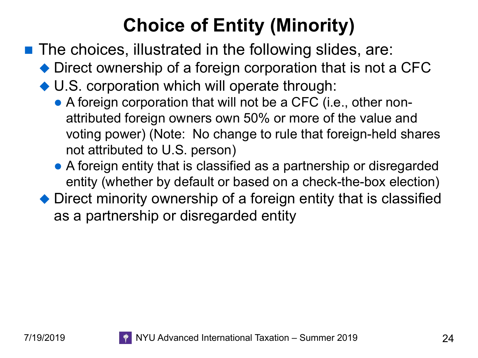# **Choice of Entity (Minority)**

- $\blacksquare$  The choices, illustrated in the following slides, are:
	- $\blacklozenge$  Direct ownership of a foreign corporation that is not a CFC
	- $\blacktriangleright$  U.S. corporation which will operate through:
		- A foreign corporation that will not be a CFC (i.e., other nonattributed foreign owners own 50% or more of the value and voting power) (Note: No change to rule that foreign-held shares not attributed to U.S. person)
		- A foreign entity that is classified as a partnership or disregarded entity (whether by default or based on a check-the-box election)
	- $\rightarrow$  Direct minority ownership of a foreign entity that is classified as a partnership or disregarded entity

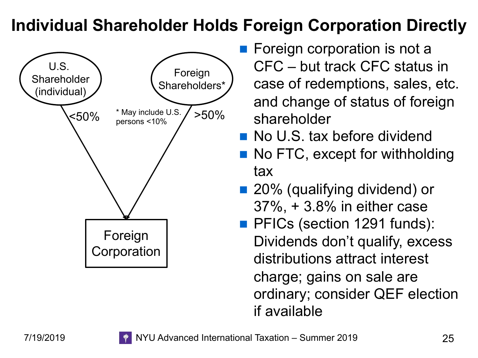#### **Individual Shareholder Holds Foreign Corporation Directly**



- $\blacksquare$  Foreign corporation is not a CFC – but track CFC status in case of redemptions, sales, etc. and change of status of foreign shareholder
- **No U.S. tax before dividend**
- No FTC, except for withholding tax
- 20% (qualifying dividend) or 37%, + 3.8% in either case
- **PHICs (section 1291 funds):** Dividends don't qualify, excess distributions attract interest charge; gains on sale are ordinary; consider QEF election if available

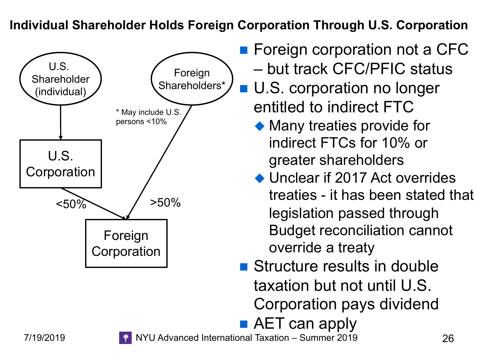**Individual Shareholder Holds Foreign Corporation Through U.S. Corporation** 



- **n** Foreign corporation not a CFC – but track CFC/PFIC status
- **n** U.S. corporation no longer entitled to indirect FTC
	- $\blacklozenge$  Many treaties provide for indirect FTCs for 10% or greater shareholders
	- $\blacklozenge$  Unclear if 2017 Act overrides treaties - it has been stated that legislation passed through Budget reconciliation cannot override a treaty
- Structure results in double taxation but not until U.S. Corporation pays dividend
- $\blacksquare$  AET can apply

7/19/2019 NYU Advanced International Taxation – Summer 2019 26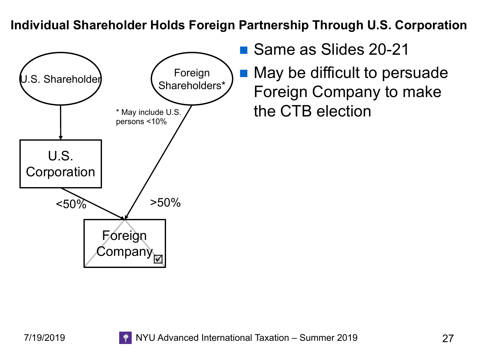**Individual Shareholder Holds Foreign Partnership Through U.S. Corporation** 



- Same as Slides 20-21
- May be difficult to persuade Foreign Company to make the CTB election

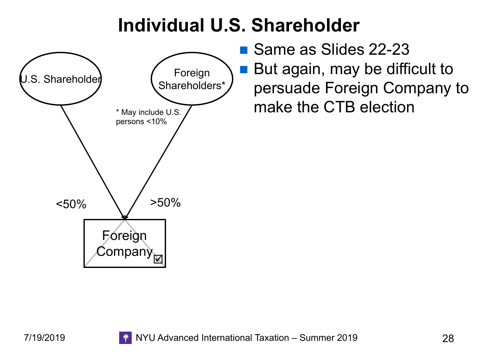### **Individual U.S. Shareholder**



■ Same as Slides 22-23 But again, may be difficult to persuade Foreign Company to make the CTB election

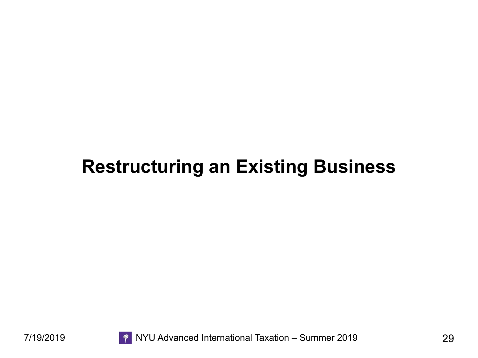### **Restructuring an Existing Business**



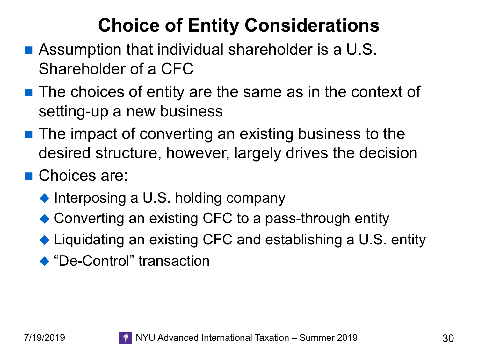# **Choice of Entity Considerations**

- Assumption that individual shareholder is a U.S. Shareholder of a CFC
- $\blacksquare$  The choices of entity are the same as in the context of setting-up a new business
- $\blacksquare$  The impact of converting an existing business to the desired structure, however, largely drives the decision
- Choices are:
	- $\blacklozenge$  Interposing a U.S. holding company
	- $\bullet$  Converting an existing CFC to a pass-through entity
	- $\blacklozenge$  Liquidating an existing CFC and establishing a U.S. entity
	- ◆ "De-Control" transaction

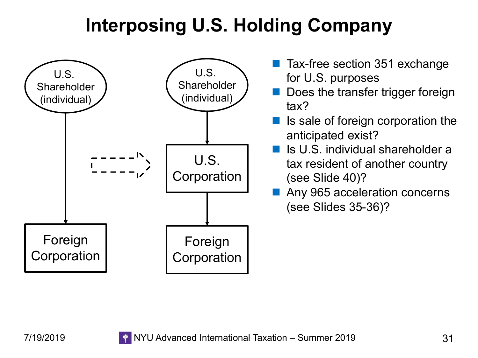# **Interposing U.S. Holding Company**



- Tax-free section 351 exchange for U.S. purposes
- Does the transfer trigger foreign tax?
- Is sale of foreign corporation the anticipated exist?
- Is U.S. individual shareholder a tax resident of another country (see Slide 40)?
- Any 965 acceleration concerns (see Slides 35-36)?

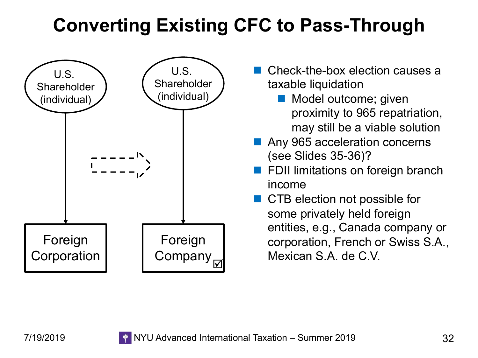# **Converting Existing CFC to Pass-Through**



- Check-the-box election causes a taxable liquidation
	- Model outcome; given proximity to 965 repatriation, may still be a viable solution
- Any 965 acceleration concerns (see Slides 35-36)?
- FDII limitations on foreign branch income
- n CTB election not possible for some privately held foreign entities, e.g., Canada company or corporation, French or Swiss S.A., Mexican S.A. de C.V.

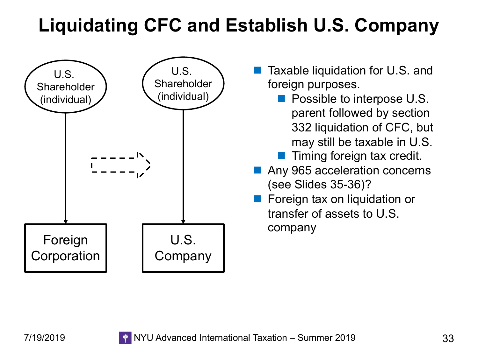# **Liquidating CFC and Establish U.S. Company**



- Taxable liquidation for U.S. and foreign purposes.
	- **n** Possible to interpose U.S. parent followed by section 332 liquidation of CFC, but may still be taxable in U.S.
	- $\blacksquare$  Timing foreign tax credit.
- Any 965 acceleration concerns (see Slides 35-36)?
- Foreign tax on liquidation or transfer of assets to U.S. company

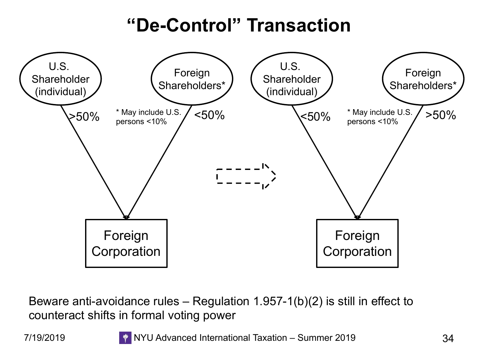### **"De-Control" Transaction**



Beware anti-avoidance rules – Regulation 1.957-1(b)(2) is still in effect to counteract shifts in formal voting power

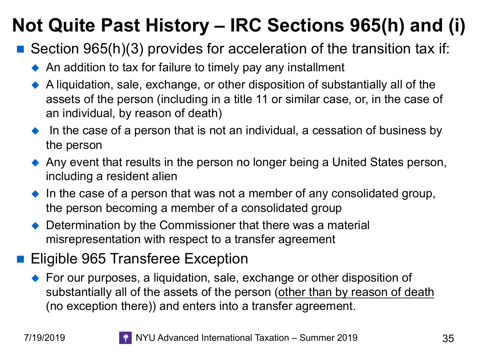# **Not Quite Past History – IRC Sections 965(h) and (i)**

- Section 965(h)(3) provides for acceleration of the transition tax if:
	- $\triangle$  An addition to tax for failure to timely pay any installment
	- $\blacklozenge$  A liquidation, sale, exchange, or other disposition of substantially all of the assets of the person (including in a title 11 or similar case, or, in the case of an individual, by reason of death)
	- In the case of a person that is not an individual, a cessation of business by the person
	- $\blacklozenge$  Any event that results in the person no longer being a United States person, including a resident alien
	- $\bullet$  In the case of a person that was not a member of any consolidated group, the person becoming a member of a consolidated group
	- $\rightarrow$  Determination by the Commissioner that there was a material misrepresentation with respect to a transfer agreement

#### ■ Eligible 965 Transferee Exception

 $\blacklozenge$  For our purposes, a liquidation, sale, exchange or other disposition of substantially all of the assets of the person (other than by reason of death (no exception there)) and enters into a transfer agreement.

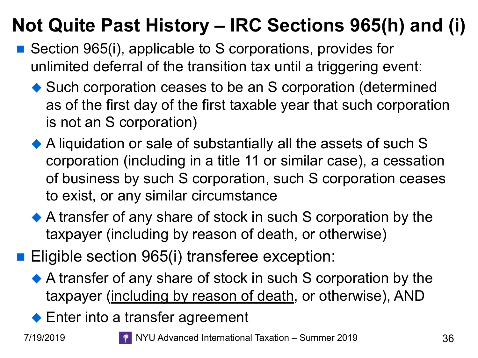# **Not Quite Past History – IRC Sections 965(h) and (i)**

- Section 965(i), applicable to S corporations, provides for unlimited deferral of the transition tax until a triggering event:
	- $\blacklozenge$  Such corporation ceases to be an S corporation (determined as of the first day of the first taxable year that such corporation is not an S corporation)
	- $\blacklozenge$  A liquidation or sale of substantially all the assets of such S corporation (including in a title 11 or similar case), a cessation of business by such S corporation, such S corporation ceases to exist, or any similar circumstance
	- $\blacklozenge$  A transfer of any share of stock in such S corporation by the taxpayer (including by reason of death, or otherwise)
- Eligible section 965(i) transferee exception:
	- $\blacklozenge$  A transfer of any share of stock in such S corporation by the taxpayer (including by reason of death, or otherwise), AND
	- $\blacklozenge$  Enter into a transfer agreement



7/19/2019 NYU Advanced International Taxation – Summer 2019 36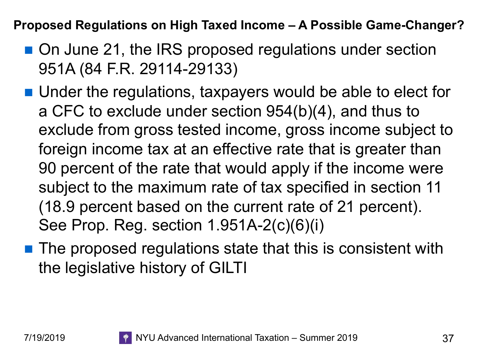**Proposed Regulations on High Taxed Income – A Possible Game-Changer?**

- On June 21, the IRS proposed regulations under section 951A (84 F.R. 29114-29133)
- Under the regulations, taxpayers would be able to elect for a CFC to exclude under section 954(b)(4), and thus to exclude from gross tested income, gross income subject to foreign income tax at an effective rate that is greater than 90 percent of the rate that would apply if the income were subject to the maximum rate of tax specified in section 11 (18.9 percent based on the current rate of 21 percent). See Prop. Reg. section 1.951A-2(c)(6)(i)
- The proposed regulations state that this is consistent with the legislative history of GILTI

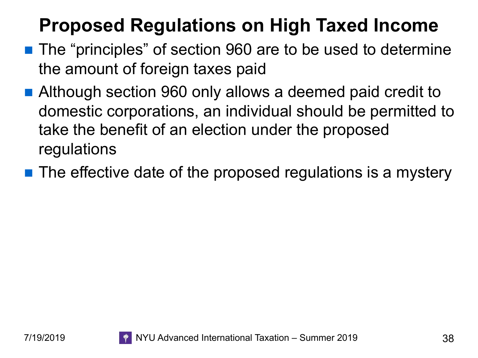# **Proposed Regulations on High Taxed Income**

- The "principles" of section 960 are to be used to determine the amount of foreign taxes paid
- Although section 960 only allows a deemed paid credit to domestic corporations, an individual should be permitted to take the benefit of an election under the proposed regulations
- $\blacksquare$  The effective date of the proposed regulations is a mystery

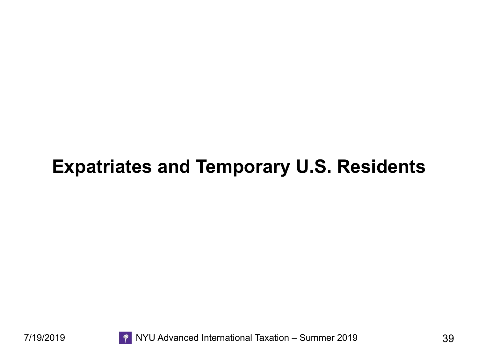#### **Expatriates and Temporary U.S. Residents**



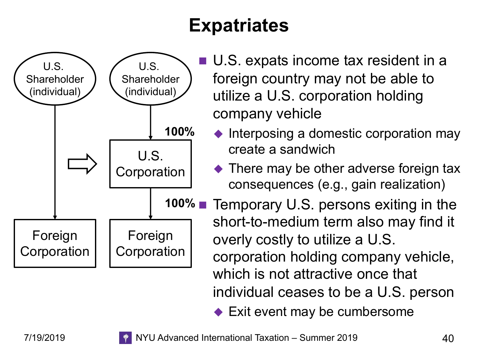# **Expatriates**



- U.S. expats income tax resident in a foreign country may not be able to utilize a U.S. corporation holding company vehicle
	- $\blacklozenge$  Interposing a domestic corporation may create a sandwich
	- $\blacklozenge$  There may be other adverse foreign tax consequences (e.g., gain realization)

Temporary U.S. persons exiting in the short-to-medium term also may find it overly costly to utilize a U.S. corporation holding company vehicle, which is not attractive once that individual ceases to be a U.S. person

 $\blacktriangleright$  Exit event may be cumbersome

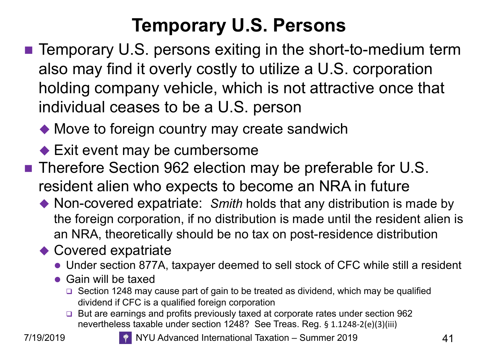# **Temporary U.S. Persons**

- $\blacksquare$  Temporary U.S. persons exiting in the short-to-medium term also may find it overly costly to utilize a U.S. corporation holding company vehicle, which is not attractive once that individual ceases to be a U.S. person
	- $\blacklozenge$  Move to foreign country may create sandwich
	- $\blacktriangleright$  Exit event may be cumbersome
- Therefore Section 962 election may be preferable for U.S. resident alien who expects to become an NRA in future
	- ◆ Non-covered expatriate: Smith holds that any distribution is made by the foreign corporation, if no distribution is made until the resident alien is an NRA, theoretically should be no tax on post-residence distribution
	- $\triangle$  Covered expatriate
		- Under section 877A, taxpayer deemed to sell stock of CFC while still a resident
		- $\bullet$  Gain will be taxed
			- $\Box$  Section 1248 may cause part of gain to be treated as dividend, which may be qualified dividend if CFC is a qualified foreign corporation
			- □ But are earnings and profits previously taxed at corporate rates under section 962 nevertheless taxable under section 1248? See Treas. Reg. § 1.1248-2(e)(3)(iii)



7/19/2019 NYU Advanced International Taxation – Summer 2019 41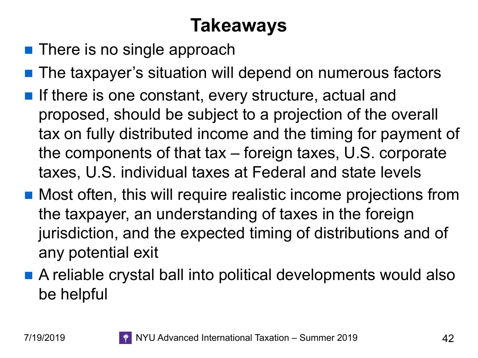# **Takeaways**

- **n** There is no single approach
- The taxpayer's situation will depend on numerous factors
- **n** If there is one constant, every structure, actual and proposed, should be subject to a projection of the overall tax on fully distributed income and the timing for payment of the components of that tax – foreign taxes, U.S. corporate taxes, U.S. individual taxes at Federal and state levels
- Most often, this will require realistic income projections from the taxpayer, an understanding of taxes in the foreign jurisdiction, and the expected timing of distributions and of any potential exit
- A reliable crystal ball into political developments would also be helpful

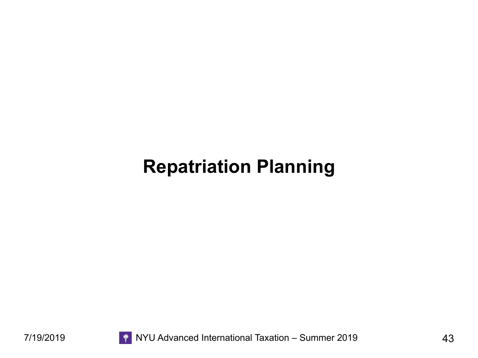#### **Repatriation Planning**

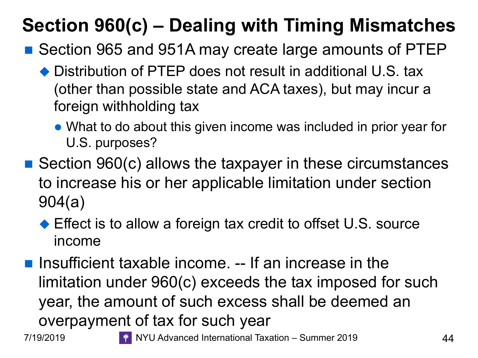# **Section 960(c) – Dealing with Timing Mismatches**

- Section 965 and 951A may create large amounts of PTEP
	- $\blacklozenge$  Distribution of PTEP does not result in additional U.S. tax (other than possible state and ACA taxes), but may incur a foreign withholding tax
		- What to do about this given income was included in prior year for U.S. purposes?
- $\blacksquare$  Section 960(c) allows the taxpayer in these circumstances to increase his or her applicable limitation under section 904(a)
	- $\blacklozenge$  Effect is to allow a foreign tax credit to offset U.S. source income
- **n** Insufficient taxable income. -- If an increase in the limitation under 960(c) exceeds the tax imposed for such year, the amount of such excess shall be deemed an overpayment of tax for such year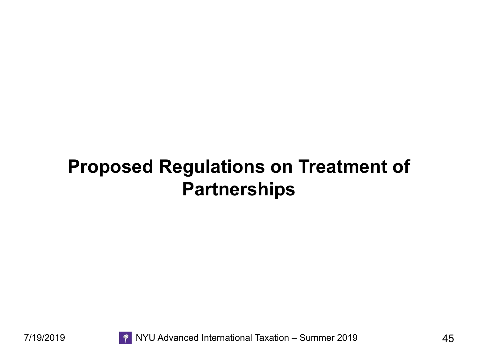### **Proposed Regulations on Treatment of Partnerships**

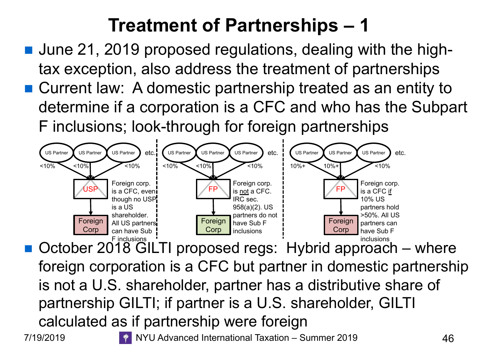# **Treatment of Partnerships – 1**

- June 21, 2019 proposed regulations, dealing with the hightax exception, also address the treatment of partnerships
- Current law: A domestic partnership treated as an entity to determine if a corporation is a CFC and who has the Subpart F inclusions; look-through for foreign partnerships



 $\blacksquare$  October 2018 GILTI proposed regs: Hybrid approach – where foreign corporation is a CFC but partner in domestic partnership is not a U.S. shareholder, partner has a distributive share of partnership GILTI; if partner is a U.S. shareholder, GILTI calculated as if partnership were foreign 7/19/2019 **TEDDA ALGE ARE:** NYU Advanced International Taxation – Summer 2019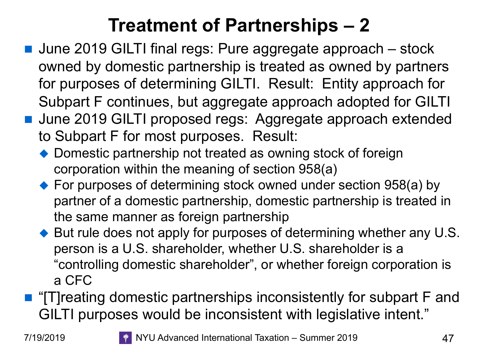### **Treatment of Partnerships – 2**

- June 2019 GILTI final regs: Pure aggregate approach stock owned by domestic partnership is treated as owned by partners for purposes of determining GILTI. Result: Entity approach for Subpart F continues, but aggregate approach adopted for GILTI
- June 2019 GILTI proposed regs: Aggregate approach extended to Subpart F for most purposes. Result:
	- $\rightarrow$  Domestic partnership not treated as owning stock of foreign corporation within the meaning of section 958(a)
	- $\rightarrow$  For purposes of determining stock owned under section 958(a) by partner of a domestic partnership, domestic partnership is treated in the same manner as foreign partnership
	- $\blacklozenge$  But rule does not apply for purposes of determining whether any U.S. person is a U.S. shareholder, whether U.S. shareholder is a "controlling domestic shareholder", or whether foreign corporation is a CFC
- $\blacksquare$  "[T]reating domestic partnerships inconsistently for subpart F and GILTI purposes would be inconsistent with legislative intent."

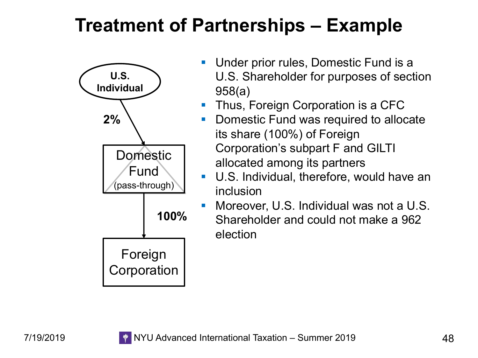### **Treatment of Partnerships – Example**



- Under prior rules, Domestic Fund is a U.S. Shareholder for purposes of section 958(a)
- Thus, Foreign Corporation is a CFC
- § Domestic Fund was required to allocate its share (100%) of Foreign Corporation's subpart F and GILTI allocated among its partners
- U.S. Individual, therefore, would have an inclusion
- § Moreover, U.S. Individual was not a U.S. Shareholder and could not make a 962 election

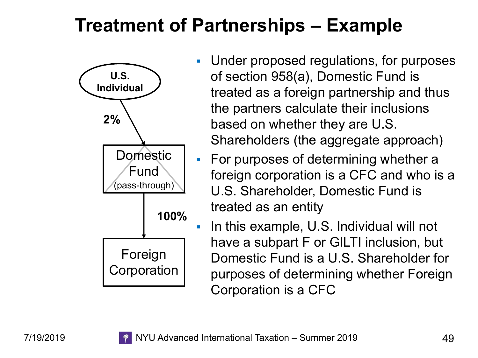### **Treatment of Partnerships – Example**



- § Under proposed regulations, for purposes of section 958(a), Domestic Fund is treated as a foreign partnership and thus the partners calculate their inclusions based on whether they are U.S. Shareholders (the aggregate approach)
- **For purposes of determining whether a** foreign corporation is a CFC and who is a U.S. Shareholder, Domestic Fund is treated as an entity
- In this example, U.S. Individual will not have a subpart F or GILTI inclusion, but Domestic Fund is a U.S. Shareholder for purposes of determining whether Foreign Corporation is a CFC

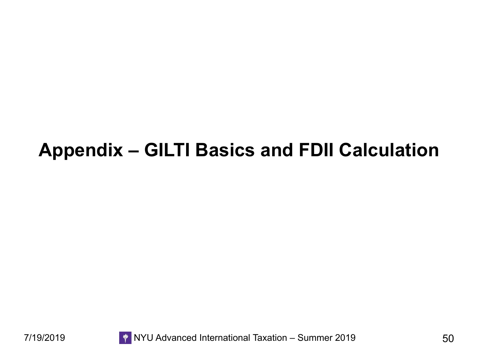### **Appendix – GILTI Basics and FDII Calculation**



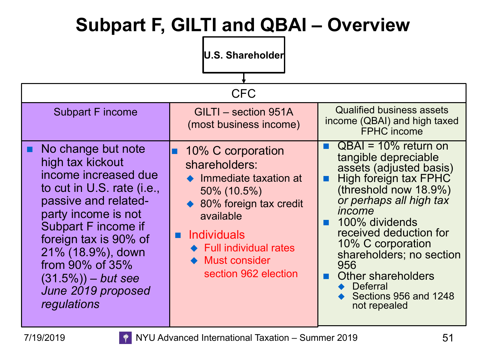# **Subpart F, GILTI and QBAI – Overview**

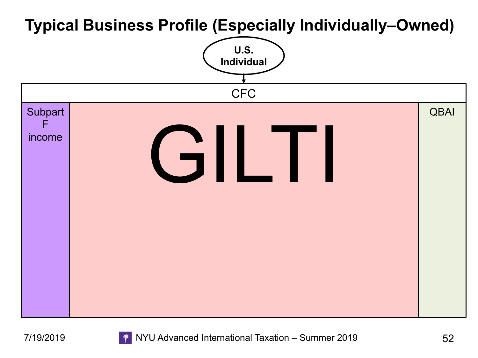#### **Typical Business Profile (Especially Individually–Owned)**



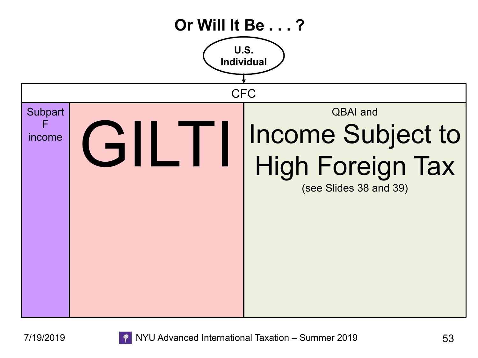

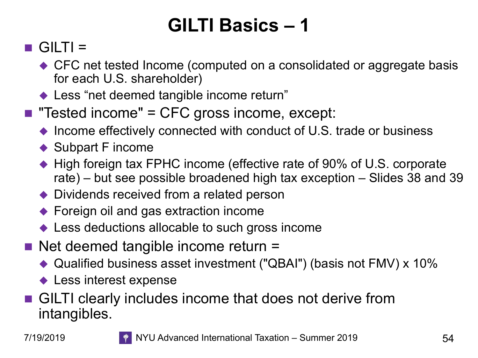# **GILTI Basics – 1**

#### $\blacksquare$  GILTI =

- $\bullet$  CFC net tested Income (computed on a consolidated or aggregate basis for each U.S. shareholder)
- $\blacklozenge$  Less "net deemed tangible income return"
- **n** "Tested income" = CFC gross income, except:
	- $\blacklozenge$  Income effectively connected with conduct of U.S. trade or business
	- $\blacklozenge$  Subpart F income
	- $\blacklozenge$  High foreign tax FPHC income (effective rate of 90% of U.S. corporate rate) – but see possible broadened high tax exception – Slides 38 and 39
	- $\rightarrow$  Dividends received from a related person
	- $\blacklozenge$  Foreign oil and gas extraction income
	- $\blacklozenge$  Less deductions allocable to such gross income
- $\blacksquare$  Net deemed tangible income return  $=$ 
	- $\triangle$  Qualified business asset investment ("QBAI") (basis not FMV) x 10%
	- $\blacklozenge$  Less interest expense
- GILTI clearly includes income that does not derive from intangibles.

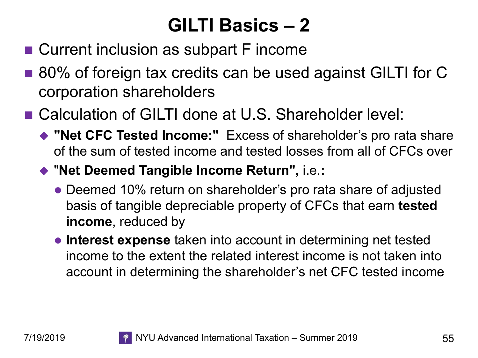# **GILTI Basics – 2**

- Current inclusion as subpart F income
- 80% of foreign tax credits can be used against GILTI for C corporation shareholders
- Calculation of GILTI done at U.S. Shareholder level:
	- ◆ "Net CFC Tested Income:" Excess of shareholder's pro rata share of the sum of tested income and tested losses from all of CFCs over
	- ◆ "Net Deemed Tangible Income Return", i.e.:
		- Deemed 10% return on shareholder's pro rata share of adjusted basis of tangible depreciable property of CFCs that earn **tested income**, reduced by
		- **Interest expense** taken into account in determining net tested income to the extent the related interest income is not taken into account in determining the shareholder's net CFC tested income

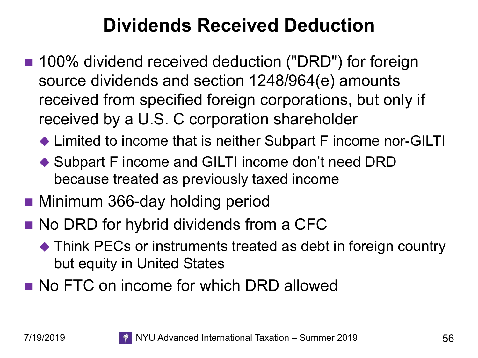# **Dividends Received Deduction**

- 100% dividend received deduction ("DRD") for foreign source dividends and section 1248/964(e) amounts received from specified foreign corporations, but only if received by a U.S. C corporation shareholder
	- $\blacklozenge$  Limited to income that is neither Subpart F income nor-GILTI
	- $\blacklozenge$  Subpart F income and GILTI income don't need DRD because treated as previously taxed income
- Minimum 366-day holding period
- No DRD for hybrid dividends from a CFC
	- $\blacklozenge$  Think PECs or instruments treated as debt in foreign country but equity in United States
- **No FTC on income for which DRD allowed**

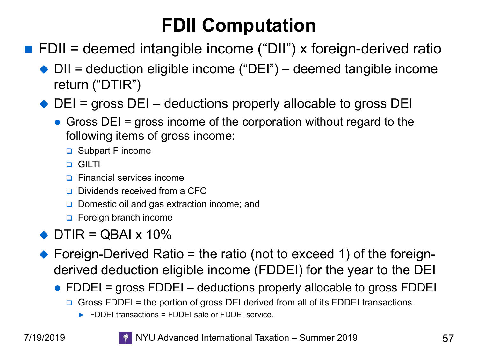# **FDII Computation**

- $\blacksquare$  FDII = deemed intangible income ("DII") x foreign-derived ratio
	- $\rightarrow$  DII = deduction eligible income ("DEI") deemed tangible income return ("DTIR")

 $\blacklozenge$  DEI = gross DEI – deductions properly allocable to gross DEI

- Gross DEI = gross income of the corporation without regard to the following items of gross income:
	- **□** Subpart F income
	- q GILTI
	- **p** Financial services income
	- **Q** Dividends received from a CFC
	- **□** Domestic oil and gas extraction income; and
	- **Q** Foreign branch income
- $\bullet$  DTIR = QBAI x 10%
- $\blacklozenge$  Foreign-Derived Ratio = the ratio (not to exceed 1) of the foreignderived deduction eligible income (FDDEI) for the year to the DEI
	- FDDEI = gross FDDEI  $-$  deductions properly allocable to gross FDDEI
		- Gross FDDEI = the portion of gross DEI derived from all of its FDDEI transactions.
			- ► FDDEI transactions = FDDEI sale or FDDEI service.